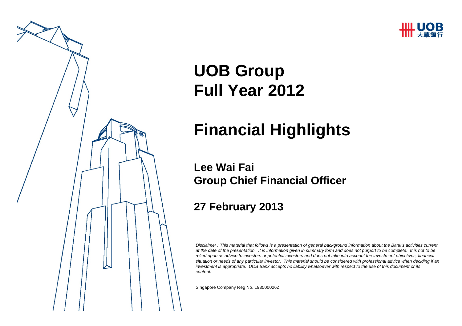



# **UOB Group Full Year 2012**

# **Financial Highlights**

#### **Lee Wai FaiGroup Chief Financial Officer**

#### **27 February 2013**

*Disclaimer : This material that follows is a presentation of general background information about the Bank's activities current at the date of the presentation. It is information given in summary form and does not purport to be complete. It is not to be relied upon as advice to investors or potential investors and does not take into account the investment objectives, financial situation or needs of any particular investor. This material should be considered with professional advice when deciding if an investment is appropriate. UOB Bank accepts no liability whatsoever with respect to the use of this document or its content.*

Singapore Company Reg No. 193500026Z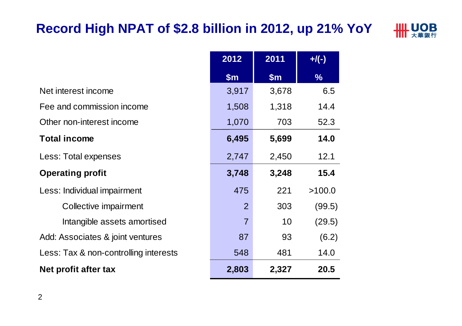# **Record High NPAT of \$2.8 billion in 2012, up 21% YoY**



|                                       | 2012           | 2011  | $+$ /(-)      |
|---------------------------------------|----------------|-------|---------------|
|                                       | \$m\$          | \$m\$ | $\frac{0}{6}$ |
| Net interest income                   | 3,917          | 3,678 | 6.5           |
| Fee and commission income             | 1,508          | 1,318 | 14.4          |
| Other non-interest income             | 1,070          | 703   | 52.3          |
| <b>Total income</b>                   | 6,495          | 5,699 | 14.0          |
| Less: Total expenses                  | 2,747          | 2,450 | 12.1          |
| <b>Operating profit</b>               | 3,748          | 3,248 | 15.4          |
| Less: Individual impairment           | 475            | 221   | >100.0        |
| Collective impairment                 | 2              | 303   | (99.5)        |
| Intangible assets amortised           | $\overline{7}$ | 10    | (29.5)        |
| Add: Associates & joint ventures      | 87             | 93    | (6.2)         |
| Less: Tax & non-controlling interests | 548            | 481   | 14.0          |
| Net profit after tax                  | 2,803          | 2,327 | 20.5          |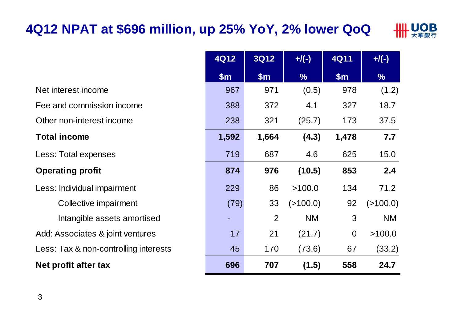# **4Q12 NPAT at \$696 million, up 25% YoY, 2% lower QoQ**



|                                       | <b>4Q12</b> | 3Q12  | $H(\cdot)$    | <b>4Q11</b>    | $+$ /(-)      |
|---------------------------------------|-------------|-------|---------------|----------------|---------------|
|                                       | \$m\$       | \$m\$ | $\frac{9}{6}$ | \$m\$          | $\frac{9}{6}$ |
| Net interest income                   | 967         | 971   | (0.5)         | 978            | (1.2)         |
| Fee and commission income             | 388         | 372   | 4.1           | 327            | 18.7          |
| Other non-interest income             | 238         | 321   | (25.7)        | 173            | 37.5          |
| <b>Total income</b>                   | 1,592       | 1,664 | (4.3)         | 1,478          | 7.7           |
| Less: Total expenses                  | 719         | 687   | 4.6           | 625            | 15.0          |
| <b>Operating profit</b>               | 874         | 976   | (10.5)        | 853            | 2.4           |
| Less: Individual impairment           | 229         | 86    | >100.0        | 134            | 71.2          |
| Collective impairment                 | (79)        | 33    | (>100.0)      | 92             | (>100.0)      |
| Intangible assets amortised           |             | 2     | <b>NM</b>     | 3              | <b>NM</b>     |
| Add: Associates & joint ventures      | 17          | 21    | (21.7)        | $\overline{0}$ | >100.0        |
| Less: Tax & non-controlling interests | 45          | 170   | (73.6)        | 67             | (33.2)        |
| Net profit after tax                  | 696         | 707   | (1.5)         | 558            | 24.7          |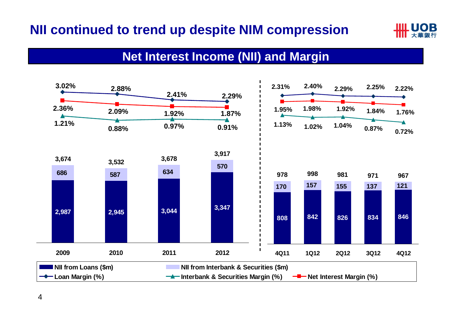# **NII continued to trend up despite NIM compression**



#### **Net Interest Income (NII) and Margin**

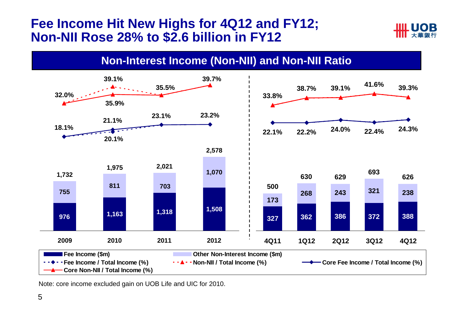#### **Fee Income Hit New Highs for 4Q12 and FY12; Non-NII Rose 28% to \$2.6 billion in FY12**



**Non-Interest Income (Non-NII) and Non-NII Ratio**



Note: core income excluded gain on UOB Life and UIC for 2010.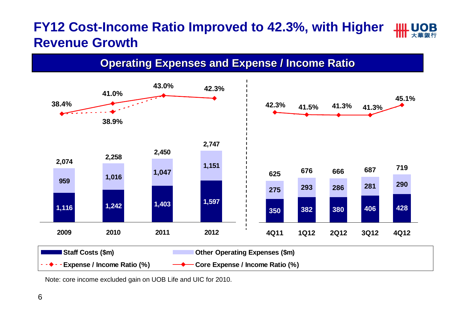### **FY12 Cost-Income Ratio Improved to 42.3%, with Higher Revenue Growth**





Note: core income excluded gain on UOB Life and UIC for 2010.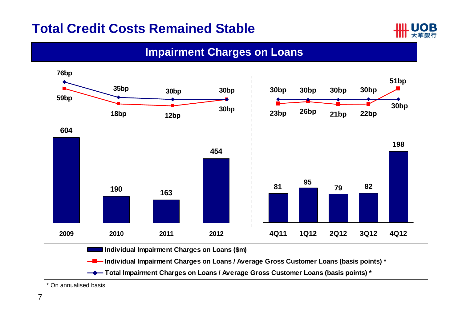#### **Total Credit Costs Remained Stable**



#### **Impairment Charges on Loans**



\* On annualised basis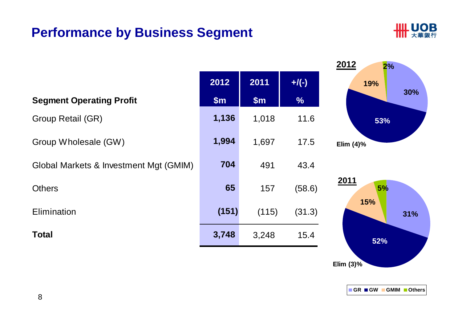### **Performance by Business Segment**



|                                        |       |       |               | <u>ZU12</u><br>2% |
|----------------------------------------|-------|-------|---------------|-------------------|
|                                        | 2012  | 2011  | $+$ /(-)      | 19%               |
| <b>Segment Operating Profit</b>        | \$m\$ | \$m\$ | $\frac{0}{6}$ | 30%               |
| Group Retail (GR)                      | 1,136 | 1,018 | 11.6          | 53%               |
| Group Wholesale (GW)                   | 1,994 | 1,697 | 17.5          | Elim $(4)$ %      |
| Global Markets & Investment Mgt (GMIM) | 704   | 491   | 43.4          |                   |
| <b>Others</b>                          | 65    | 157   | (58.6)        | 2011<br>5%        |
| Elimination                            | (151) | (115) | (31.3)        | 15%<br>31%        |
| <b>Total</b>                           | 3,748 | 3,248 | 15.4          | 52%               |

**Elim (3)%**

**2012**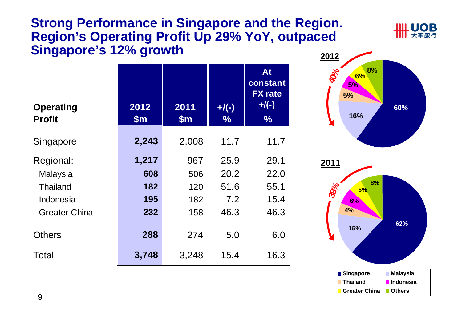#### **Strong Performance in Singapore and the Region. Region's Operating Profit Up 29% YoY, outpaced Singapore's 12% growth**

| <b>Operating</b><br><b>Profit</b> | 2012<br>$\mathsf{Sm}$ | 2011<br>$\mathsf{Sm}$ | $+$ /(-)<br>$\%$ | At<br>constant<br><b>FX</b> rate<br>$+$ /(-)<br>$\frac{0}{0}$ |
|-----------------------------------|-----------------------|-----------------------|------------------|---------------------------------------------------------------|
| Singapore                         | 2,243                 | 2,008                 | 11.7             | 11.7                                                          |
| Regional:                         | 1,217                 | 967                   | 25.9             | 29.1                                                          |
| Malaysia                          | 608                   | 506                   | 20.2             | 22.0                                                          |
| <b>Thailand</b>                   | 182                   | 120                   | 51.6             | 55.1                                                          |
| Indonesia                         | 195                   | 182                   | 7.2              | 15.4                                                          |
| <b>Greater China</b>              | 232                   | 158                   | 46.3             | 46.3                                                          |
| <b>Others</b>                     | 288                   | 274                   | 5.0              | 6.0                                                           |
| Total                             | 3,748                 | 3,248                 | 15.4             | 16.3                                                          |



**UOR** 

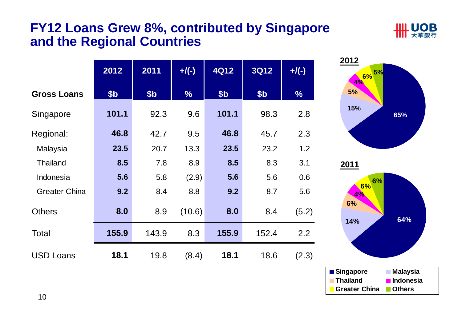#### **FY12 Loans Grew 8%, contributed by Singapore and the Regional Countries**



|                      | 2012  | 2011            | $+/(-)$       | <b>4Q12</b>     | <b>3Q12</b>     | $+$ /(-)      |
|----------------------|-------|-----------------|---------------|-----------------|-----------------|---------------|
| <b>Gross Loans</b>   | \$b   | \$ <sub>b</sub> | $\frac{0}{6}$ | \$ <sub>b</sub> | \$ <sub>b</sub> | $\frac{0}{6}$ |
| Singapore            | 101.1 | 92.3            | 9.6           | 101.1           | 98.3            | 2.8           |
| Regional:            | 46.8  | 42.7            | 9.5           | 46.8            | 45.7            | 2.3           |
| Malaysia             | 23.5  | 20.7            | 13.3          | 23.5            | 23.2            | 1.2           |
| <b>Thailand</b>      | 8.5   | 7.8             | 8.9           | 8.5             | 8.3             | 3.1           |
| Indonesia            | 5.6   | 5.8             | (2.9)         | 5.6             | 5.6             | 0.6           |
| <b>Greater China</b> | 9.2   | 8.4             | 8.8           | 9.2             | 8.7             | 5.6           |
| <b>Others</b>        | 8.0   | 8.9             | (10.6)        | 8.0             | 8.4             | (5.2)         |
| Total                | 155.9 | 143.9           | 8.3           | 155.9           | 152.4           | 2.2           |
| <b>USD Loans</b>     | 18.1  | 19.8            | (8.4)         | 18.1            | 18.6            | (2.3)         |



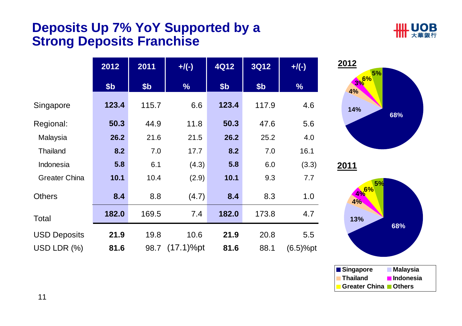#### **Deposits Up 7% YoY Supported by a Strong Deposits Franchise**



|                      | 2012            | 2011            | $+$ /(-)      | <b>4Q12</b> | <b>3Q12</b>     | $+/(-)$       |
|----------------------|-----------------|-----------------|---------------|-------------|-----------------|---------------|
|                      | \$ <sub>b</sub> | \$ <sub>b</sub> | $\frac{1}{2}$ | \$b         | \$ <sub>b</sub> | $\frac{1}{2}$ |
| Singapore            | 123.4           | 115.7           | 6.6           | 123.4       | 117.9           | 4.6           |
| Regional:            | 50.3            | 44.9            | 11.8          | 50.3        | 47.6            | 5.6           |
| Malaysia             | 26.2            | 21.6            | 21.5          | 26.2        | 25.2            | 4.0           |
| <b>Thailand</b>      | 8.2             | 7.0             | 17.7          | 8.2         | 7.0             | 16.1          |
| Indonesia            | 5.8             | 6.1             | (4.3)         | 5.8         | 6.0             | (3.3)         |
| <b>Greater China</b> | 10.1            | 10.4            | (2.9)         | 10.1        | 9.3             | 7.7           |
| <b>Others</b>        | 8.4             | 8.8             | (4.7)         | 8.4         | 8.3             | 1.0           |
| Total                | 182.0           | 169.5           | 7.4           | 182.0       | 173.8           | 4.7           |
| <b>USD Deposits</b>  | 21.9            | 19.8            | 10.6          | 21.9        | 20.8            | 5.5           |
| USD LDR (%)          | 81.6            | 98.7            | $(17.1)%$ pt  | 81.6        | 88.1            | $(6.5)%$ pt   |





11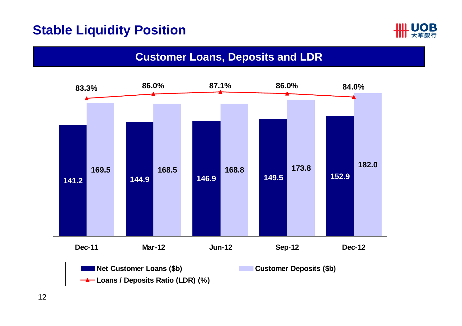#### **Stable Liquidity Position**



#### **Customer Loans, Deposits and LDR**

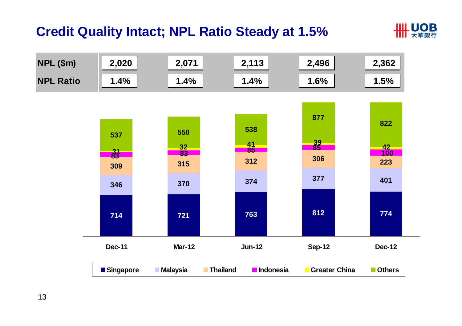### **Credit Quality Intact; NPL Ratio Steady at 1.5%**



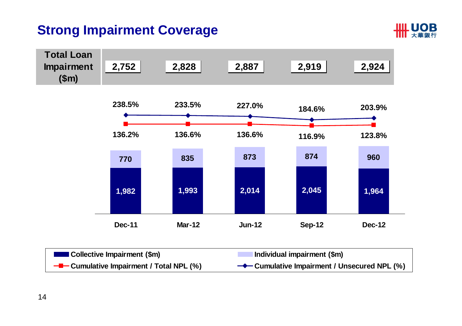# **Strong Impairment Coverage**



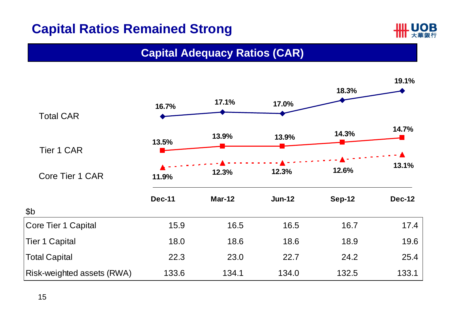# **Capital Ratios Remained Strong**



#### **Capital Adequacy Ratios (CAR)**

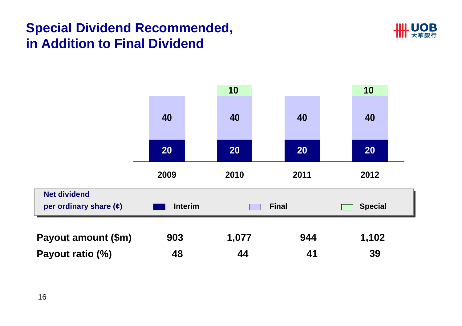# **Special Dividend Recommended, in Addition to Final Dividend**



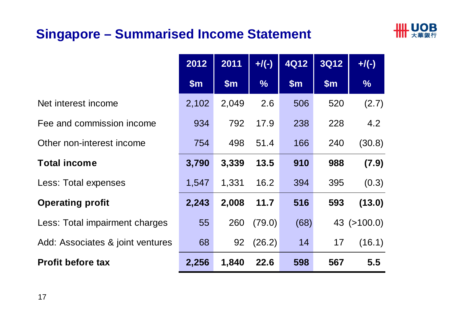# **Singapore – Summarised Income Statement**



|                                  | 2012  | 2011          | $+/(-)$       | <b>4Q12</b> | <b>3Q12</b> | $+$ /(-)          |
|----------------------------------|-------|---------------|---------------|-------------|-------------|-------------------|
|                                  | \$m\$ | $\mathsf{Sm}$ | $\frac{0}{6}$ | \$m\$       | \$m\$       | $\frac{1}{2}$     |
| Net interest income              | 2,102 | 2,049         | 2.6           | 506         | 520         | (2.7)             |
| Fee and commission income        | 934   | 792           | 17.9          | 238         | 228         | 4.2               |
| Other non-interest income        | 754   | 498           | 51.4          | 166         | 240         | (30.8)            |
| <b>Total income</b>              | 3,790 | 3,339         | 13.5          | 910         | 988         | (7.9)             |
| Less: Total expenses             | 1,547 | 1,331         | 16.2          | 394         | 395         | (0.3)             |
| <b>Operating profit</b>          | 2,243 | 2,008         | 11.7          | 516         | 593         | (13.0)            |
| Less: Total impairment charges   | 55    | 260           | (79.0)        | (68)        |             | $43$ ( $>100.0$ ) |
| Add: Associates & joint ventures | 68    | 92            | (26.2)        | 14          | 17          | (16.1)            |
| <b>Profit before tax</b>         | 2,256 | 1,840         | 22.6          | 598         | 567         | 5.5               |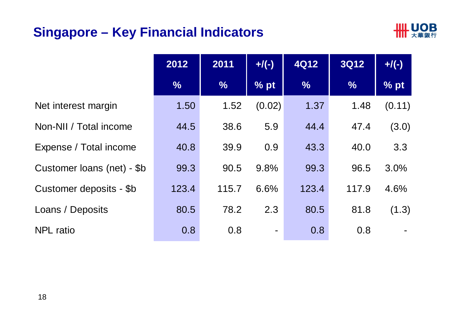### **Singapore – Key Financial Indicators**



|                            | 2012          | 2011          | $+/(-)$        | <b>4Q12</b>   | <b>3Q12</b>   | $+$ /(-) |
|----------------------------|---------------|---------------|----------------|---------------|---------------|----------|
|                            | $\frac{0}{6}$ | $\frac{9}{6}$ | % pt           | $\frac{0}{6}$ | $\frac{9}{6}$ | % pt     |
| Net interest margin        | 1.50          | 1.52          | (0.02)         | 1.37          | 1.48          | (0.11)   |
| Non-NII / Total income     | 44.5          | 38.6          | 5.9            | 44.4          | 47.4          | (3.0)    |
| Expense / Total income     | 40.8          | 39.9          | 0.9            | 43.3          | 40.0          | 3.3      |
| Customer loans (net) - \$b | 99.3          | 90.5          | 9.8%           | 99.3          | 96.5          | 3.0%     |
| Customer deposits - \$b    | 123.4         | 115.7         | 6.6%           | 123.4         | 117.9         | 4.6%     |
| Loans / Deposits           | 80.5          | 78.2          | 2.3            | 80.5          | 81.8          | (1.3)    |
| <b>NPL</b> ratio           | 0.8           | 0.8           | $\blacksquare$ | 0.8           | 0.8           |          |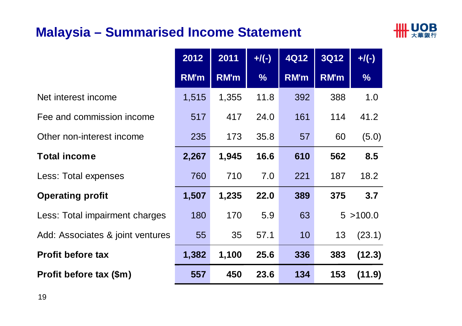### **Malaysia – Summarised Income Statement**



|                                  | 2012  | 2011  | $+/(-)$       | 4Q12 | <b>3Q12</b> | $+/(-)$       |
|----------------------------------|-------|-------|---------------|------|-------------|---------------|
|                                  | RM'm  | RM'm  | $\frac{9}{6}$ | RM'm | RM'm        | $\frac{9}{6}$ |
| Net interest income              | 1,515 | 1,355 | 11.8          | 392  | 388         | 1.0           |
| Fee and commission income        | 517   | 417   | 24.0          | 161  | 114         | 41.2          |
| Other non-interest income        | 235   | 173   | 35.8          | 57   | 60          | (5.0)         |
| <b>Total income</b>              | 2,267 | 1,945 | 16.6          | 610  | 562         | 8.5           |
| Less: Total expenses             | 760   | 710   | 7.0           | 221  | 187         | 18.2          |
| <b>Operating profit</b>          | 1,507 | 1,235 | 22.0          | 389  | 375         | 3.7           |
| Less: Total impairment charges   | 180   | 170   | 5.9           | 63   |             | 5 > 100.0     |
| Add: Associates & joint ventures | 55    | 35    | 57.1          | 10   | 13          | (23.1)        |
| <b>Profit before tax</b>         | 1,382 | 1,100 | 25.6          | 336  | 383         | (12.3)        |
| Profit before tax (\$m)          | 557   | 450   | 23.6          | 134  | 153         | (11.9)        |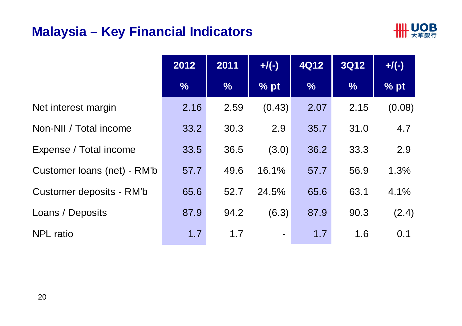#### **Malaysia – Key Financial Indicators**



|                             | 2012          | 2011          | $+$ /(-)       | <b>4Q12</b>   | <b>3Q12</b>   | $+$ /(-) |
|-----------------------------|---------------|---------------|----------------|---------------|---------------|----------|
|                             | $\frac{1}{2}$ | $\frac{9}{6}$ | % pt           | $\frac{1}{2}$ | $\frac{1}{2}$ | % pt     |
| Net interest margin         | 2.16          | 2.59          | (0.43)         | 2.07          | 2.15          | (0.08)   |
| Non-NII / Total income      | 33.2          | 30.3          | 2.9            | 35.7          | 31.0          | 4.7      |
| Expense / Total income      | 33.5          | 36.5          | (3.0)          | 36.2          | 33.3          | 2.9      |
| Customer loans (net) - RM'b | 57.7          | 49.6          | 16.1%          | 57.7          | 56.9          | 1.3%     |
| Customer deposits - RM'b    | 65.6          | 52.7          | 24.5%          | 65.6          | 63.1          | 4.1%     |
| Loans / Deposits            | 87.9          | 94.2          | (6.3)          | 87.9          | 90.3          | (2.4)    |
| <b>NPL</b> ratio            | 1.7           | 1.7           | $\blacksquare$ | 1.7           | 1.6           | 0.1      |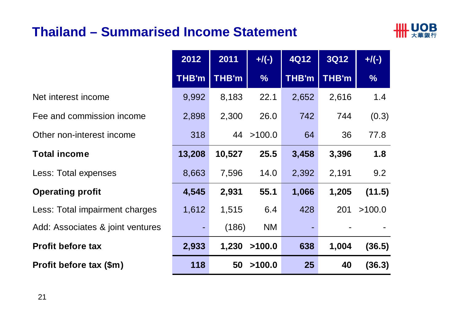### **Thailand – Summarised Income Statement**



|                                  | 2012           | 2011         | $+$ /(-)      | <b>4Q12</b>  | <b>3Q12</b>  | $+$ /(-)      |
|----------------------------------|----------------|--------------|---------------|--------------|--------------|---------------|
|                                  | <b>THB'm</b>   | <b>THB'm</b> | $\frac{0}{6}$ | <b>THB'm</b> | <b>THB'm</b> | $\frac{1}{2}$ |
| Net interest income              | 9,992          | 8,183        | 22.1          | 2,652        | 2,616        | 1.4           |
| Fee and commission income        | 2,898          | 2,300        | 26.0          | 742          | 744          | (0.3)         |
| Other non-interest income        | 318            |              | 44 > 100.0    | 64           | 36           | 77.8          |
| <b>Total income</b>              | 13,208         | 10,527       | 25.5          | 3,458        | 3,396        | 1.8           |
| Less: Total expenses             | 8,663          | 7,596        | 14.0          | 2,392        | 2,191        | 9.2           |
| <b>Operating profit</b>          | 4,545          | 2,931        | 55.1          | 1,066        | 1,205        | (11.5)        |
| Less: Total impairment charges   | 1,612          | 1,515        | 6.4           | 428          | 201          | >100.0        |
| Add: Associates & joint ventures | $\blacksquare$ | (186)        | <b>NM</b>     |              |              |               |
| <b>Profit before tax</b>         | 2,933          |              | 1,230 > 100.0 | 638          | 1,004        | (36.5)        |
| Profit before tax (\$m)          | 118            | 50           | >100.0        | 25           | 40           | (36.3)        |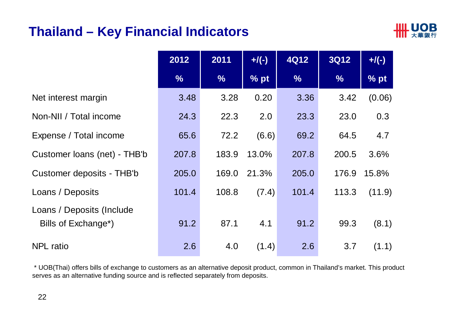#### **Thailand – Key Financial Indicators**



|                                                  | 2012          | 2011          | $+$ /(-) | <b>4Q12</b>   | <b>3Q12</b>   | $+$ /(-) |
|--------------------------------------------------|---------------|---------------|----------|---------------|---------------|----------|
|                                                  | $\frac{9}{6}$ | $\frac{9}{6}$ | % pt     | $\frac{9}{6}$ | $\frac{1}{2}$ | % pt     |
| Net interest margin                              | 3.48          | 3.28          | 0.20     | 3.36          | 3.42          | (0.06)   |
| Non-NII / Total income                           | 24.3          | 22.3          | 2.0      | 23.3          | 23.0          | 0.3      |
| Expense / Total income                           | 65.6          | 72.2          | (6.6)    | 69.2          | 64.5          | 4.7      |
| Customer loans (net) - THB'b                     | 207.8         | 183.9         | 13.0%    | 207.8         | 200.5         | 3.6%     |
| Customer deposits - THB'b                        | 205.0         | 169.0         | 21.3%    | 205.0         | 176.9         | 15.8%    |
| Loans / Deposits                                 | 101.4         | 108.8         | (7.4)    | 101.4         | 113.3         | (11.9)   |
| Loans / Deposits (Include<br>Bills of Exchange*) | 91.2          | 87.1          | 4.1      | 91.2          | 99.3          | (8.1)    |
| <b>NPL</b> ratio                                 | 2.6           | 4.0           | (1.4)    | 2.6           | 3.7           | (1.1)    |

\* UOB(Thai) offers bills of exchange to customers as an alternative deposit product, common in Thailand's market. This product serves as an alternative funding source and is reflected separately from deposits.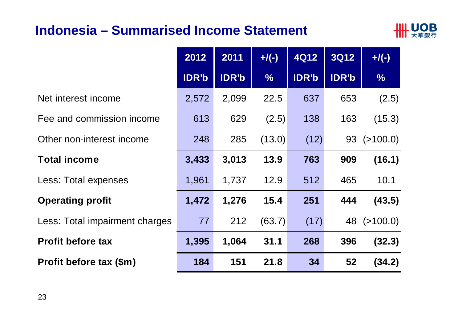#### **Indonesia – Summarised Income Statement**



|                                | 2012         | 2011         | $+$ /(-)      | <b>4Q12</b>  | <b>3Q12</b>  | $+$ /(-)          |
|--------------------------------|--------------|--------------|---------------|--------------|--------------|-------------------|
|                                | <b>IDR'b</b> | <b>IDR'b</b> | $\frac{0}{0}$ | <b>IDR'b</b> | <b>IDR'b</b> | $\frac{1}{2}$     |
| Net interest income            | 2,572        | 2,099        | 22.5          | 637          | 653          | (2.5)             |
| Fee and commission income      | 613          | 629          | (2.5)         | 138          | 163          | (15.3)            |
| Other non-interest income      | 248          | 285          | (13.0)        | (12)         |              | $93$ ( $>100.0$ ) |
| <b>Total income</b>            | 3,433        | 3,013        | 13.9          | 763          | 909          | (16.1)            |
| Less: Total expenses           | 1,961        | 1,737        | 12.9          | 512          | 465          | 10.1              |
| <b>Operating profit</b>        | 1,472        | 1,276        | 15.4          | 251          | 444          | (43.5)            |
| Less: Total impairment charges | 77           | 212          | (63.7)        | (17)         | 48           | ( > 100.0)        |
| <b>Profit before tax</b>       | 1,395        | 1,064        | 31.1          | 268          | 396          | (32.3)            |
| Profit before tax (\$m)        | 184          | 151          | 21.8          | 34           | 52           | (34.2)            |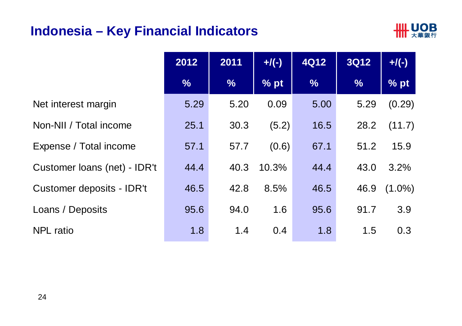#### **Indonesia – Key Financial Indicators**



|                              | 2012          | 2011          | $+$ /(-) | <b>4Q12</b>   | <b>3Q12</b>   | $+/(-)$   |
|------------------------------|---------------|---------------|----------|---------------|---------------|-----------|
|                              | $\frac{0}{6}$ | $\frac{0}{6}$ | % pt     | $\frac{0}{6}$ | $\frac{9}{6}$ | % pt      |
| Net interest margin          | 5.29          | 5.20          | 0.09     | 5.00          | 5.29          | (0.29)    |
| Non-NII / Total income       | 25.1          | 30.3          | (5.2)    | 16.5          | 28.2          | (11.7)    |
| Expense / Total income       | 57.1          | 57.7          | (0.6)    | 67.1          | 51.2          | 15.9      |
| Customer loans (net) - IDR't | 44.4          | 40.3          | 10.3%    | 44.4          | 43.0          | 3.2%      |
| Customer deposits - IDR't    | 46.5          | 42.8          | 8.5%     | 46.5          | 46.9          | $(1.0\%)$ |
| Loans / Deposits             | 95.6          | 94.0          | 1.6      | 95.6          | 91.7          | 3.9       |
| <b>NPL</b> ratio             | 1.8           | 1.4           | 0.4      | 1.8           | 1.5           | 0.3       |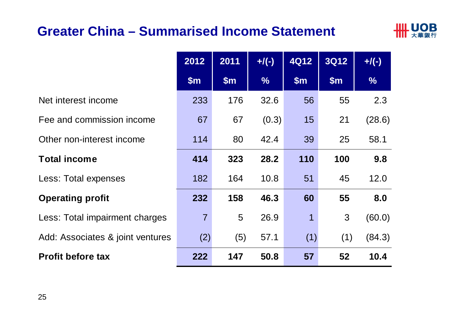#### **Greater China – Summarised Income Statement**



|                                  | 2012           | 2011  | $+$ /(-)      | <b>4Q12</b> | <b>3Q12</b> | $+$ /(-)      |
|----------------------------------|----------------|-------|---------------|-------------|-------------|---------------|
|                                  | \$m\$          | \$m\$ | $\frac{9}{6}$ | \$m\$       | \$m\$       | $\frac{9}{6}$ |
| Net interest income              | 233            | 176   | 32.6          | 56          | 55          | 2.3           |
| Fee and commission income        | 67             | 67    | (0.3)         | 15          | 21          | (28.6)        |
| Other non-interest income        | 114            | 80    | 42.4          | 39          | 25          | 58.1          |
| <b>Total income</b>              | 414            | 323   | 28.2          | 110         | 100         | 9.8           |
| Less: Total expenses             | 182            | 164   | 10.8          | 51          | 45          | 12.0          |
| <b>Operating profit</b>          | 232            | 158   | 46.3          | 60          | 55          | 8.0           |
| Less: Total impairment charges   | $\overline{7}$ | 5     | 26.9          | 1           | 3           | (60.0)        |
| Add: Associates & joint ventures | (2)            | (5)   | 57.1          | (1)         | (1)         | (84.3)        |
| <b>Profit before tax</b>         | 222            | 147   | 50.8          | 57          | 52          | 10.4          |